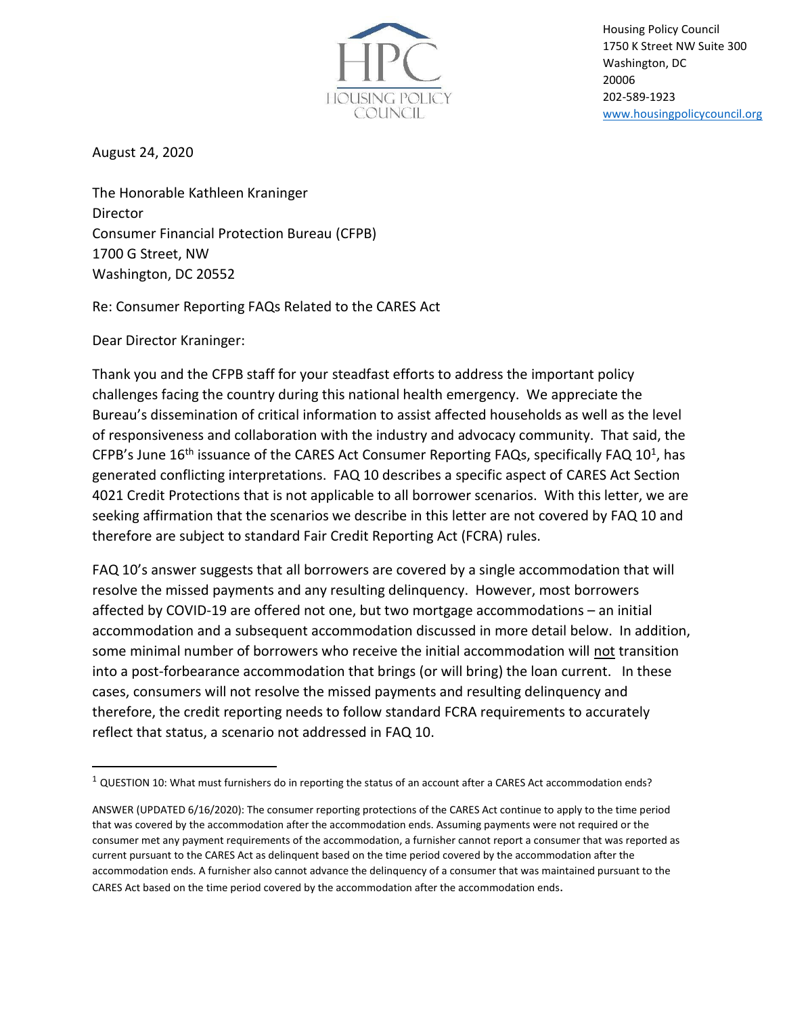

Housing Policy Council 1750 K Street NW Suite 300 Washington, DC 20006 202-589-1923 [www.housingpolicycouncil.org](http://www.housingpolicycouncil.org/)

August 24, 2020

The Honorable Kathleen Kraninger Director Consumer Financial Protection Bureau (CFPB) 1700 G Street, NW Washington, DC 20552

Re: Consumer Reporting FAQs Related to the CARES Act

Dear Director Kraninger:

Thank you and the CFPB staff for your steadfast efforts to address the important policy challenges facing the country during this national health emergency. We appreciate the Bureau's dissemination of critical information to assist affected households as well as the level of responsiveness and collaboration with the industry and advocacy community. That said, the CFPB's June 16<sup>th</sup> issuance of the CARES Act Consumer Reporting FAQs, specifically FAQ 10<sup>1</sup>, has generated conflicting interpretations. FAQ 10 describes a specific aspect of CARES Act Section 4021 Credit Protections that is not applicable to all borrower scenarios. With this letter, we are seeking affirmation that the scenarios we describe in this letter are not covered by FAQ 10 and therefore are subject to standard Fair Credit Reporting Act (FCRA) rules.

FAQ 10's answer suggests that all borrowers are covered by a single accommodation that will resolve the missed payments and any resulting delinquency. However, most borrowers affected by COVID-19 are offered not one, but two mortgage accommodations – an initial accommodation and a subsequent accommodation discussed in more detail below. In addition, some minimal number of borrowers who receive the initial accommodation will not transition into a post-forbearance accommodation that brings (or will bring) the loan current. In these cases, consumers will not resolve the missed payments and resulting delinquency and therefore, the credit reporting needs to follow standard FCRA requirements to accurately reflect that status, a scenario not addressed in FAQ 10.

 $1$  QUESTION 10: What must furnishers do in reporting the status of an account after a CARES Act accommodation ends?

ANSWER (UPDATED 6/16/2020): The consumer reporting protections of the CARES Act continue to apply to the time period that was covered by the accommodation after the accommodation ends. Assuming payments were not required or the consumer met any payment requirements of the accommodation, a furnisher cannot report a consumer that was reported as current pursuant to the CARES Act as delinquent based on the time period covered by the accommodation after the accommodation ends. A furnisher also cannot advance the delinquency of a consumer that was maintained pursuant to the CARES Act based on the time period covered by the accommodation after the accommodation ends.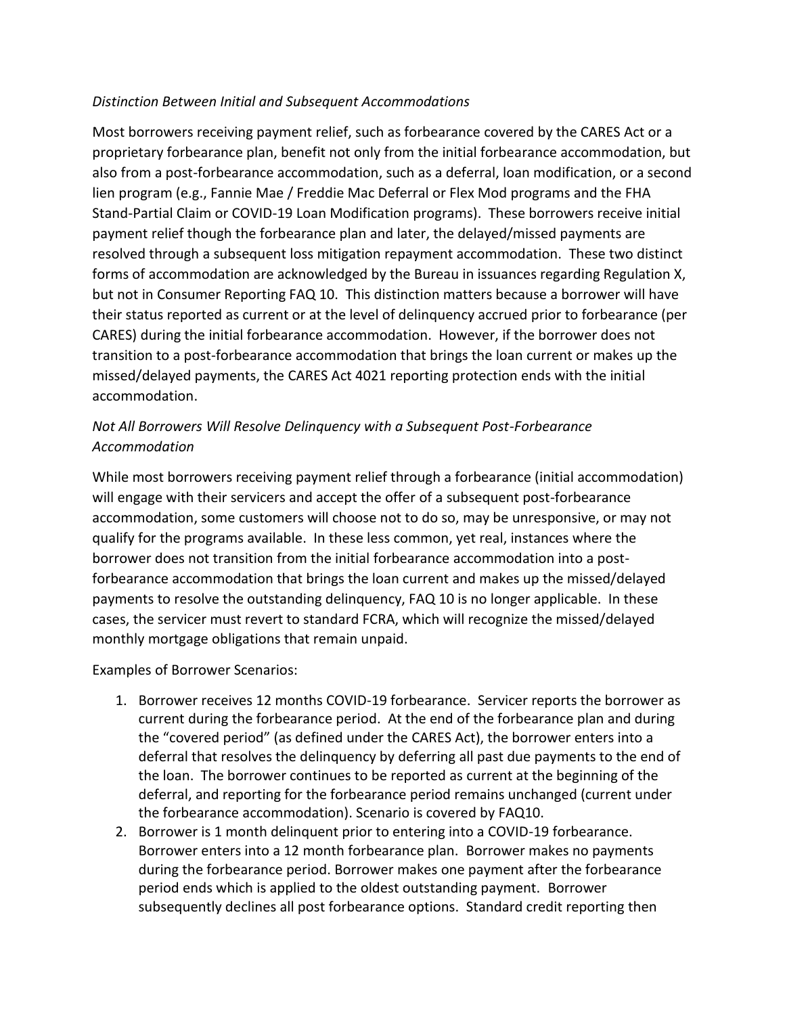## *Distinction Between Initial and Subsequent Accommodations*

Most borrowers receiving payment relief, such as forbearance covered by the CARES Act or a proprietary forbearance plan, benefit not only from the initial forbearance accommodation, but also from a post-forbearance accommodation, such as a deferral, loan modification, or a second lien program (e.g., Fannie Mae / Freddie Mac Deferral or Flex Mod programs and the FHA Stand-Partial Claim or COVID-19 Loan Modification programs). These borrowers receive initial payment relief though the forbearance plan and later, the delayed/missed payments are resolved through a subsequent loss mitigation repayment accommodation. These two distinct forms of accommodation are acknowledged by the Bureau in issuances regarding Regulation X, but not in Consumer Reporting FAQ 10. This distinction matters because a borrower will have their status reported as current or at the level of delinquency accrued prior to forbearance (per CARES) during the initial forbearance accommodation. However, if the borrower does not transition to a post-forbearance accommodation that brings the loan current or makes up the missed/delayed payments, the CARES Act 4021 reporting protection ends with the initial accommodation.

## *Not All Borrowers Will Resolve Delinquency with a Subsequent Post-Forbearance Accommodation*

While most borrowers receiving payment relief through a forbearance (initial accommodation) will engage with their servicers and accept the offer of a subsequent post-forbearance accommodation, some customers will choose not to do so, may be unresponsive, or may not qualify for the programs available. In these less common, yet real, instances where the borrower does not transition from the initial forbearance accommodation into a postforbearance accommodation that brings the loan current and makes up the missed/delayed payments to resolve the outstanding delinquency, FAQ 10 is no longer applicable. In these cases, the servicer must revert to standard FCRA, which will recognize the missed/delayed monthly mortgage obligations that remain unpaid.

## Examples of Borrower Scenarios:

- 1. Borrower receives 12 months COVID-19 forbearance. Servicer reports the borrower as current during the forbearance period. At the end of the forbearance plan and during the "covered period" (as defined under the CARES Act), the borrower enters into a deferral that resolves the delinquency by deferring all past due payments to the end of the loan. The borrower continues to be reported as current at the beginning of the deferral, and reporting for the forbearance period remains unchanged (current under the forbearance accommodation). Scenario is covered by FAQ10.
- 2. Borrower is 1 month delinquent prior to entering into a COVID-19 forbearance. Borrower enters into a 12 month forbearance plan. Borrower makes no payments during the forbearance period. Borrower makes one payment after the forbearance period ends which is applied to the oldest outstanding payment. Borrower subsequently declines all post forbearance options. Standard credit reporting then